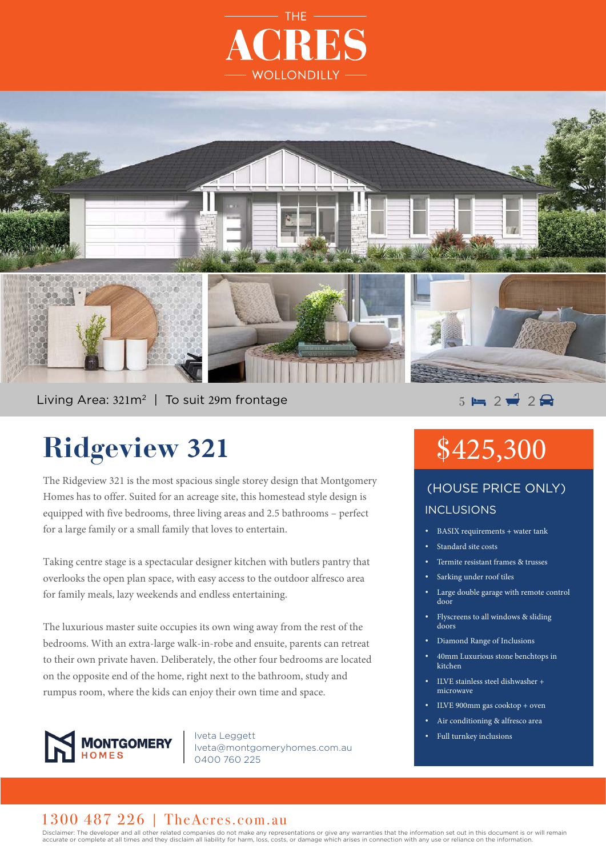



Living Area:  $321m^2$  | To suit 29m frontage  $\overline{5}$  =  $\overline{2}$   $\overline{2}$  2  $\overline{2}$  2

# **Ridgeview 321**

The Ridgeview 321 is the most spacious single storey design that Montgomery Homes has to offer. Suited for an acreage site, this homestead style design is equipped with five bedrooms, three living areas and 2.5 bathrooms – perfect for a large family or a small family that loves to entertain.

Taking centre stage is a spectacular designer kitchen with butlers pantry that overlooks the open plan space, with easy access to the outdoor alfresco area for family meals, lazy weekends and endless entertaining.

The luxurious master suite occupies its own wing away from the rest of the bedrooms. With an extra-large walk-in-robe and ensuite, parents can retreat to their own private haven. Deliberately, the other four bedrooms are located on the opposite end of the home, right next to the bathroom, study and rumpus room, where the kids can enjoy their own time and space.



Iveta Leggett Iveta@montgomeryhomes.com.au 0400 760 225

# \$425,300

### INCLUSIONS (HOUSE PRICE ONLY)

- BASIX requirements + water tank
- Standard site costs
- Termite resistant frames & trusses
- Sarking under roof tiles
- Large double garage with remote control door
- Flyscreens to all windows & sliding doors
- Diamond Range of Inclusions
- 40mm Luxurious stone benchtops in kitchen
- ILVE stainless steel dishwasher + microwave
- ILVE 900mm gas cooktop + oven
- Air conditioning & alfresco area
- Full turnkey inclusions

### 1300 487 226 | TheAcres.com.au

Disclaimer: The developer and all other related companies do not make any representations or give any warranties that the information set out in this document is or will remain accurate or complete at all times and they disclaim all liability for harm, loss, costs, or damage which arises in connection with any use or reliance on the information.